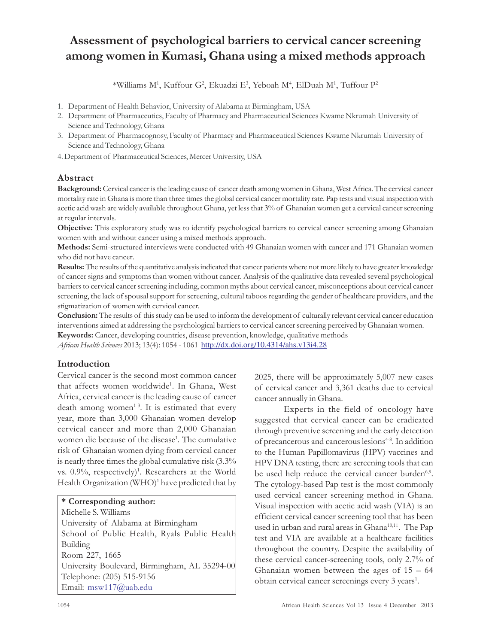# Assessment of psychological barriers to cervical cancer screening among women in Kumasi, Ghana using a mixed methods approach

 $^*$ Williams M<sup>1</sup>, Kuffour G<sup>2</sup>, Ekuadzi E<sup>3</sup>, Yeboah M<sup>4</sup>, ElDuah M<sup>1</sup>, Tuffour P<sup>2</sup>

- 1. Department of Health Behavior, University of Alabama at Birmingham, USA
- 2. Department of Pharmaceutics, Faculty of Pharmacy and Pharmaceutical Sciences Kwame Nkrumah University of Science and Technology, Ghana
- 3. Department of Pharmacognosy, Faculty of Pharmacy and Pharmaceutical Sciences Kwame Nkrumah University of Science and Technology, Ghana
- 4. Department of Pharmaceutical Sciences, Mercer University, USA

# Abstract

Background: Cervical cancer is the leading cause of cancer death among women in Ghana, West Africa. The cervical cancer mortality rate in Ghana is more than three times the global cervical cancer mortality rate. Pap tests and visual inspection with acetic acid wash are widely available throughout Ghana, yet less that 3% of Ghanaian women get a cervical cancer screening at regular intervals.

Objective: This exploratory study was to identify psychological barriers to cervical cancer screening among Ghanaian women with and without cancer using a mixed methods approach.

Methods: Semi-structured interviews were conducted with 49 Ghanaian women with cancer and 171 Ghanaian women who did not have cancer.

Results: The results of the quantitative analysis indicated that cancer patients where not more likely to have greater knowledge of cancer signs and symptoms than women without cancer. Analysis of the qualitative data revealed several psychological barriers to cervical cancer screening including, common myths about cervical cancer, misconceptions about cervical cancer screening, the lack of spousal support for screening, cultural taboos regarding the gender of healthcare providers, and the stigmatization of women with cervical cancer.

Conclusion: The results of this study can be used to inform the development of culturally relevant cervical cancer education interventions aimed at addressing the psychological barriers to cervical cancer screening perceived by Ghanaian women.

Keywords: Cancer, developing countries, disease prevention, knowledge, qualitative methods African Health Sciences 2013; 13(4): 1054 - 1061 http://dx.doi.org/10.4314/ahs.v13i4.28

# Introduction

Cervical cancer is the second most common cancer that affects women worldwide<sup>1</sup>. In Ghana, West Africa, cervical cancer is the leading cause of cancer death among women<sup>1-3</sup>. It is estimated that every year, more than 3,000 Ghanaian women develop cervical cancer and more than 2,000 Ghanaian women die because of the disease<sup>1</sup>. The cumulative risk of Ghanaian women dying from cervical cancer is nearly three times the global cumulative risk (3.3% vs. 0.9%, respectively)<sup>1</sup>. Researchers at the World Health Organization (WHO)<sup>1</sup> have predicted that by

|  | * Corresponding author: |  |
|--|-------------------------|--|
|--|-------------------------|--|

Michelle S. Williams University of Alabama at Birmingham School of Public Health, Ryals Public Health Building Room 227, 1665 University Boulevard, Birmingham, AL 35294-00 Telephone: (205) 515-9156 Email: msw117@uab.edu

2025, there will be approximately 5,007 new cases of cervical cancer and 3,361 deaths due to cervical cancer annually in Ghana.

Experts in the field of oncology have suggested that cervical cancer can be eradicated through preventive screening and the early detection of precancerous and cancerous lesions<sup>4-8</sup>. In addition to the Human Papillomavirus (HPV) vaccines and HPV DNA testing, there are screening tools that can be used help reduce the cervical cancer burden<sup>6,9</sup>. The cytology-based Pap test is the most commonly used cervical cancer screening method in Ghana. Visual inspection with acetic acid wash (VIA) is an efficient cervical cancer screening tool that has been used in urban and rural areas in Ghana<sup>10,11</sup>. The Pap test and VIA are available at a healthcare facilities throughout the country. Despite the availability of these cervical cancer-screening tools, only 2.7% of Ghanaian women between the ages of 15 – 64 obtain cervical cancer screenings every 3 years 1 .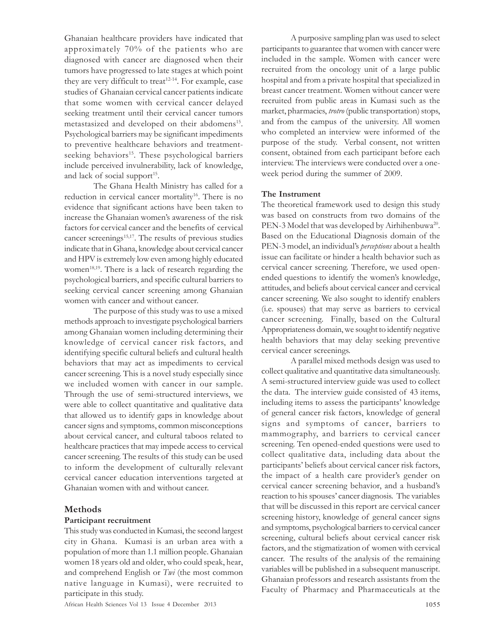Ghanaian healthcare providers have indicated that approximately 70% of the patients who are diagnosed with cancer are diagnosed when their tumors have progressed to late stages at which point they are very difficult to treat<sup>12-14</sup>. For example, case studies of Ghanaian cervical cancer patients indicate that some women with cervical cancer delayed seeking treatment until their cervical cancer tumors metastasized and developed on their abdomens<sup>15</sup>. Psychological barriers may be significant impediments to preventive healthcare behaviors and treatmentseeking behaviors<sup>15</sup>. These psychological barriers include perceived invulnerability, lack of knowledge, and lack of social support<sup>15</sup>.

The Ghana Health Ministry has called for a reduction in cervical cancer mortality<sup>16</sup>. There is no evidence that significant actions have been taken to increase the Ghanaian women's awareness of the risk factors for cervical cancer and the benefits of cervical cancer screenings<sup>15,17</sup>. The results of previous studies indicate that in Ghana, knowledge about cervical cancer and HPV is extremely low even among highly educated women<sup>18,19</sup>. There is a lack of research regarding the psychological barriers, and specific cultural barriers to seeking cervical cancer screening among Ghanaian women with cancer and without cancer.

The purpose of this study was to use a mixed methods approach to investigate psychological barriers among Ghanaian women including determining their knowledge of cervical cancer risk factors, and identifying specific cultural beliefs and cultural health behaviors that may act as impediments to cervical cancer screening. This is a novel study especially since we included women with cancer in our sample. Through the use of semi-structured interviews, we were able to collect quantitative and qualitative data that allowed us to identify gaps in knowledge about cancer signs and symptoms, common misconceptions about cervical cancer, and cultural taboos related to healthcare practices that may impede access to cervical cancer screening. The results of this study can be used to inform the development of culturally relevant cervical cancer education interventions targeted at Ghanaian women with and without cancer.

#### Methods

#### Participant recruitment

This study was conducted in Kumasi, the second largest city in Ghana. Kumasi is an urban area with a population of more than 1.1 million people. Ghanaian women 18 years old and older, who could speak, hear, and comprehend English or Twi (the most common native language in Kumasi), were recruited to participate in this study.

African Health Sciences Vol 13 Issue 4 December 2013 1055

A purposive sampling plan was used to select participants to guarantee that women with cancer were included in the sample. Women with cancer were recruited from the oncology unit of a large public hospital and from a private hospital that specialized in breast cancer treatment. Women without cancer were recruited from public areas in Kumasi such as the market, pharmacies, trotro (public transportation) stops, and from the campus of the university. All women who completed an interview were informed of the purpose of the study. Verbal consent, not written consent, obtained from each participant before each interview. The interviews were conducted over a oneweek period during the summer of 2009.

#### The Instrument

The theoretical framework used to design this study was based on constructs from two domains of the PEN-3 Model that was developed by Airhihenbuwa<sup>20</sup>. Based on the Educational Diagnosis domain of the PEN-3 model, an individual's perceptions about a health issue can facilitate or hinder a health behavior such as cervical cancer screening. Therefore, we used openended questions to identify the women's knowledge, attitudes, and beliefs about cervical cancer and cervical cancer screening. We also sought to identify enablers (i.e. spouses) that may serve as barriers to cervical cancer screening. Finally, based on the Cultural Appropriateness domain, we sought to identify negative health behaviors that may delay seeking preventive cervical cancer screenings.

A parallel mixed methods design was used to collect qualitative and quantitative data simultaneously. A semi-structured interview guide was used to collect the data. The interview guide consisted of 43 items, including items to assess the participants' knowledge of general cancer risk factors, knowledge of general signs and symptoms of cancer, barriers to mammography, and barriers to cervical cancer screening. Ten opened-ended questions were used to collect qualitative data, including data about the participants' beliefs about cervical cancer risk factors, the impact of a health care provider's gender on cervical cancer screening behavior, and a husband's reaction to his spouses' cancer diagnosis. The variables that will be discussed in this report are cervical cancer screening history, knowledge of general cancer signs and symptoms, psychological barriers to cervical cancer screening, cultural beliefs about cervical cancer risk factors, and the stigmatization of women with cervical cancer. The results of the analysis of the remaining variables will be published in a subsequent manuscript. Ghanaian professors and research assistants from the Faculty of Pharmacy and Pharmaceuticals at the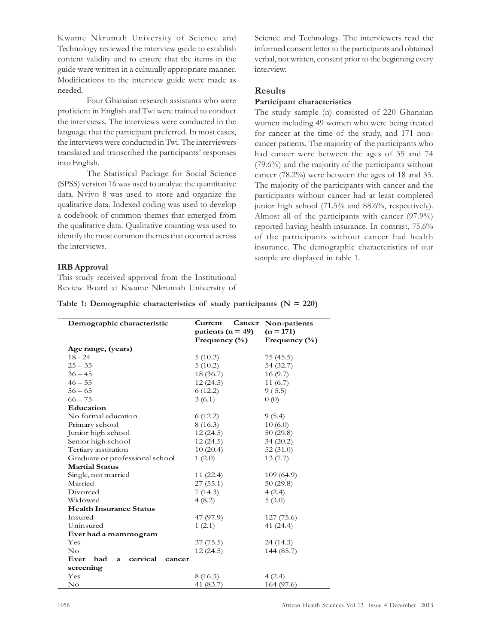Kwame Nkrumah University of Science and Technology reviewed the interview guide to establish content validity and to ensure that the items in the guide were written in a culturally appropriate manner. Modifications to the interview guide were made as needed.

Four Ghanaian research assistants who were proficient in English and Twi were trained to conduct the interviews. The interviews were conducted in the language that the participant preferred. In most cases, the interviews were conducted in Twi. The interviewers translated and transcribed the participants' responses into English.

The Statistical Package for Social Science (SPSS) version 16 was used to analyze the quantitative data. Nvivo 8 was used to store and organize the qualitative data. Indexed coding was used to develop a codebook of common themes that emerged from the qualitative data. Qualitative counting was used to identify the most common themes that occurred across the interviews.

#### IRB Approval

This study received approval from the Institutional Review Board at Kwame Nkrumah University of Science and Technology. The interviewers read the informed consent letter to the participants and obtained verbal, not written, consent prior to the beginning every interview.

#### Results

#### Participant characteristics

The study sample (n) consisted of 220 Ghanaian women including 49 women who were being treated for cancer at the time of the study, and 171 noncancer patients. The majority of the participants who had cancer were between the ages of 35 and 74 (79.6%) and the majority of the participants without cancer (78.2%) were between the ages of 18 and 35. The majority of the participants with cancer and the participants without cancer had at least completed junior high school (71.5% and 88.6%, respectively). Almost all of the participants with cancer (97.9%) reported having health insurance. In contrast, 75.6% of the participants without cancer had health insurance. The demographic characteristics of our sample are displayed in table 1.

| Demographic characteristic             | Current<br>Cancer     | Non-patients  |  |
|----------------------------------------|-----------------------|---------------|--|
|                                        | patients ( $n = 49$ ) | $(n = 171)$   |  |
|                                        | Frequency (%)         | Frequency (%) |  |
| Age range, (years)                     |                       |               |  |
| $18 - 24$                              | 5(10.2)               | 75 (45.5)     |  |
| $25 - 35$                              | 5(10.2)               | 54 (32.7)     |  |
| $36 - 45$                              | 18 (36.7)             | 16(9.7)       |  |
| $46 - 55$                              | 12(24.5)              | 11(6.7)       |  |
| $56 - 65$                              | 6(12.2)               | 9(5.5)        |  |
| $66 - 75$                              | 3(6.1)                | 0(0)          |  |
| Education                              |                       |               |  |
| No formal education                    | 6(12.2)               | 9(5.4)        |  |
| Primary school                         | 8(16.3)               | 10(6.0)       |  |
| Junior high school                     | 12(24.5)              | 50(29.8)      |  |
| Senior high school                     | 12(24.5)              | 34(20.2)      |  |
| Tertiary institution                   | 10(20.4)              | 52 $(31.0)$   |  |
| Graduate or professional school        | 1(2.0)                | 13(7.7)       |  |
| <b>Martial Status</b>                  |                       |               |  |
| Single, not married                    | 11(22.4)              | 109(64.9)     |  |
| Married                                | 27(55.1)              | 50(29.8)      |  |
| Divorced                               | 7(14.3)               | 4(2.4)        |  |
| Widowed                                | 4(8.2)                | 5(3.0)        |  |
| <b>Health Insurance Status</b>         |                       |               |  |
| Insured                                | 47 (97.9)             | 127(75.6)     |  |
| Uninsured                              | 1(2.1)                | 41 (24.4)     |  |
| Ever had a mammogram                   |                       |               |  |
| Yes                                    | 37(75.5)              | 24 (14.3)     |  |
| $\rm No$                               | 12(24.5)              | 144 (85.7)    |  |
| cervical<br>Ever<br>had<br>a<br>cancer |                       |               |  |
| screening                              |                       |               |  |
| Yes                                    | 8 (16.3)              | 4(2.4)        |  |
| $\rm No$                               | 41 (83.7)             | 164 (97.6)    |  |

Table 1: Demographic characteristics of study participants ( $N = 220$ )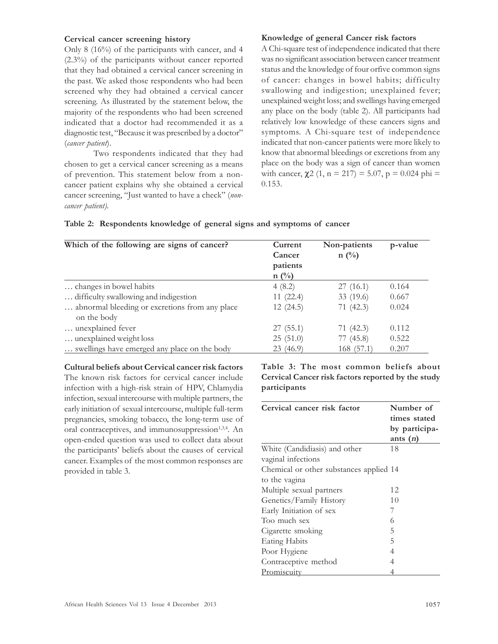#### Cervical cancer screening history

Only 8 (16%) of the participants with cancer, and 4 (2.3%) of the participants without cancer reported that they had obtained a cervical cancer screening in the past. We asked those respondents who had been screened why they had obtained a cervical cancer screening. As illustrated by the statement below, the majority of the respondents who had been screened indicated that a doctor had recommended it as a diagnostic test, "Because it was prescribed by a doctor" (cancer patient).

Two respondents indicated that they had chosen to get a cervical cancer screening as a means of prevention. This statement below from a noncancer patient explains why she obtained a cervical cancer screening, "Just wanted to have a check" (noncancer patient).

#### Knowledge of general Cancer risk factors

A Chi-square test of independence indicated that there was no significant association between cancer treatment status and the knowledge of four orfive common signs of cancer: changes in bowel habits; difficulty swallowing and indigestion; unexplained fever; unexplained weight loss; and swellings having emerged any place on the body (table 2). All participants had relatively low knowledge of these cancers signs and symptoms. A Chi-square test of independence indicated that non-cancer patients were more likely to know that abnormal bleedings or excretions from any place on the body was a sign of cancer than women with cancer,  $\chi$ 2 (1, n = 217) = 5.07, p = 0.024 phi = 0.153.

#### Table 2: Respondents knowledge of general signs and symptoms of cancer

| Which of the following are signs of cancer?                   | Current<br>Cancer          | Non-patients<br>$n(^{0}/_{0})$ | p-value |
|---------------------------------------------------------------|----------------------------|--------------------------------|---------|
|                                                               | patients<br>$n(^{0}/_{0})$ |                                |         |
| changes in bowel habits                                       | 4(8.2)                     | 27(16.1)                       | 0.164   |
| difficulty swallowing and indigestion                         | 11(22.4)                   | 33 (19.6)                      | 0.667   |
| abnormal bleeding or excretions from any place<br>on the body | 12(24.5)                   | 71(42.3)                       | 0.024   |
| unexplained fever                                             | 27(55.1)                   | 71(42.3)                       | 0.112   |
| unexplained weight loss                                       | 25(51.0)                   | 77(45.8)                       | 0.522   |
| swellings have emerged any place on the body                  | 23(46.9)                   | 168(57.1)                      | 0.207   |

Cultural beliefs about Cervical cancer risk factors The known risk factors for cervical cancer include infection with a high-risk strain of HPV, Chlamydia infection, sexual intercourse with multiple partners, the early initiation of sexual intercourse, multiple full-term pregnancies, smoking tobacco, the long-term use of oral contraceptives, and immunosuppression<sup>1,3,4</sup>. An open-ended question was used to collect data about the participants' beliefs about the causes of cervical cancer. Examples of the most common responses are provided in table 3.

Table 3: The most common beliefs about Cervical Cancer risk factors reported by the study participants

| Cervical cancer risk factor             | Number of<br>times stated |  |
|-----------------------------------------|---------------------------|--|
|                                         | by participa-             |  |
|                                         | ants $(n)$                |  |
| White (Candidiasis) and other           | 18                        |  |
| vaginal infections                      |                           |  |
| Chemical or other substances applied 14 |                           |  |
| to the vagina                           |                           |  |
| Multiple sexual partners                | 12                        |  |
| Genetics/Family History                 | 10                        |  |
| Early Initiation of sex                 | 7                         |  |
| Too much sex                            | 6                         |  |
| Cigarette smoking                       | 5                         |  |
| <b>Eating Habits</b>                    | 5                         |  |
| Poor Hygiene                            | 4                         |  |
| Contraceptive method                    | 4                         |  |
| Promiscuity                             |                           |  |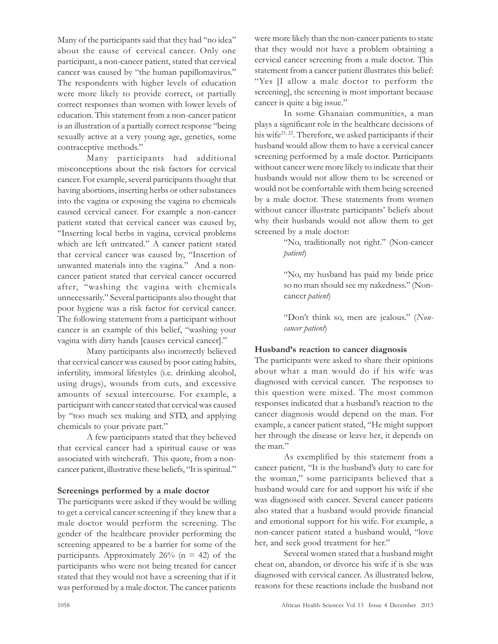Many of the participants said that they had "no idea" about the cause of cervical cancer. Only one participant, a non-cancer patient, stated that cervical cancer was caused by "the human papillomavirus." The respondents with higher levels of education were more likely to provide correct, or partially correct responses than women with lower levels of education. This statement from a non-cancer patient is an illustration of a partially correct response "being sexually active at a very young age, genetics, some contraceptive methods."

Many participants had additional misconceptions about the risk factors for cervical cancer. For example, several participants thought that having abortions, inserting herbs or other substances into the vagina or exposing the vagina to chemicals caused cervical cancer. For example a non-cancer patient stated that cervical cancer was caused by, "Inserting local herbs in vagina, cervical problems which are left untreated." A cancer patient stated that cervical cancer was caused by, "Insertion of unwanted materials into the vagina." And a noncancer patient stated that cervical cancer occurred after, "washing the vagina with chemicals unnecessarily." Several participants also thought that poor hygiene was a risk factor for cervical cancer. The following statement from a participant without cancer is an example of this belief, "washing your vagina with dirty hands [causes cervical cancer]."

Many participants also incorrectly believed that cervical cancer was caused by poor eating habits, infertility, immoral lifestyles (i.e. drinking alcohol, using drugs), wounds from cuts, and excessive amounts of sexual intercourse. For example, a participant with cancer stated that cervical was caused by "too much sex making and STD, and applying chemicals to your private part."

A few participants stated that they believed that cervical cancer had a spiritual cause or was associated with witchcraft. This quote, from a noncancer patient, illustrative these beliefs, "It is spiritual."

#### Screenings performed by a male doctor

The participants were asked if they would be willing to get a cervical cancer screening if they knew that a male doctor would perform the screening. The gender of the healthcare provider performing the screening appeared to be a barrier for some of the participants. Approximately  $26\%$  (n = 42) of the participants who were not being treated for cancer stated that they would not have a screening that if it was performed by a male doctor. The cancer patients

were more likely than the non-cancer patients to state that they would not have a problem obtaining a cervical cancer screening from a male doctor. This statement from a cancer patient illustrates this belief: "Yes [I allow a male doctor to perform the screening], the screening is most important because cancer is quite a big issue."

In some Ghanaian communities, a man plays a significant role in the healthcare decisions of his wife<sup>21, 22</sup>. Therefore, we asked participants if their husband would allow them to have a cervical cancer screening performed by a male doctor. Participants without cancer were more likely to indicate that their husbands would not allow them to be screened or would not be comfortable with them being screened by a male doctor. These statements from women without cancer illustrate participants' beliefs about why their husbands would not allow them to get screened by a male doctor:

> "No, traditionally not right." (Non-cancer patient)

> "No, my husband has paid my bride price so no man should see my nakedness." (Noncancer patient)

> "Don't think so, men are jealous." (Noncancer patient)

#### Husband's reaction to cancer diagnosis

The participants were asked to share their opinions about what a man would do if his wife was diagnosed with cervical cancer. The responses to this question were mixed. The most common responses indicated that a husband's reaction to the cancer diagnosis would depend on the man. For example, a cancer patient stated, "He might support her through the disease or leave her, it depends on the man."

As exemplified by this statement from a cancer patient, "It is the husband's duty to care for the woman," some participants believed that a husband would care for and support his wife if she was diagnosed with cancer. Several cancer patients also stated that a husband would provide financial and emotional support for his wife. For example, a non-cancer patient stated a husband would, "love her, and seek good treatment for her."

Several women stated that a husband might cheat on, abandon, or divorce his wife if is she was diagnosed with cervical cancer. As illustrated below, reasons for these reactions include the husband not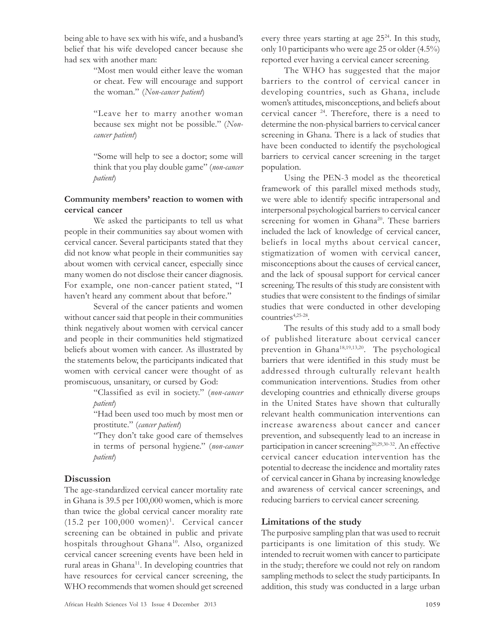being able to have sex with his wife, and a husband's belief that his wife developed cancer because she had sex with another man:

> "Most men would either leave the woman or cheat. Few will encourage and support the woman." (Non-cancer patient)

> "Leave her to marry another woman because sex might not be possible." (Noncancer patient)

> "Some will help to see a doctor; some will think that you play double game" (non-cancer patient)

### Community members' reaction to women with cervical cancer

We asked the participants to tell us what people in their communities say about women with cervical cancer. Several participants stated that they did not know what people in their communities say about women with cervical cancer, especially since many women do not disclose their cancer diagnosis. For example, one non-cancer patient stated, "I haven't heard any comment about that before."

Several of the cancer patients and women without cancer said that people in their communities think negatively about women with cervical cancer and people in their communities held stigmatized beliefs about women with cancer. As illustrated by the statements below, the participants indicated that women with cervical cancer were thought of as promiscuous, unsanitary, or cursed by God:

> "Classified as evil in society." (non-cancer patient)

> "Had been used too much by most men or prostitute." (cancer patient)

> "They don't take good care of themselves in terms of personal hygiene." (non-cancer patient)

# **Discussion**

The age-standardized cervical cancer mortality rate in Ghana is 39.5 per 100,000 women, which is more than twice the global cervical cancer morality rate  $(15.2 \text{ per } 100,000 \text{ women})$ <sup>1</sup>. Cervical cancer screening can be obtained in public and private hospitals throughout Ghana<sup>10</sup>. Also, organized cervical cancer screening events have been held in rural areas in Ghana<sup>11</sup>. In developing countries that have resources for cervical cancer screening, the WHO recommends that women should get screened

every three years starting at age 25<sup>24</sup>. In this study, only 10 participants who were age 25 or older (4.5%) reported ever having a cervical cancer screening.

The WHO has suggested that the major barriers to the control of cervical cancer in developing countries, such as Ghana, include women's attitudes, misconceptions, and beliefs about cervical cancer <sup>24</sup>. Therefore, there is a need to determine the non-physical barriers to cervical cancer screening in Ghana. There is a lack of studies that have been conducted to identify the psychological barriers to cervical cancer screening in the target population.

Using the PEN-3 model as the theoretical framework of this parallel mixed methods study, we were able to identify specific intrapersonal and interpersonal psychological barriers to cervical cancer screening for women in Ghana<sup>20</sup>. These barriers included the lack of knowledge of cervical cancer, beliefs in local myths about cervical cancer, stigmatization of women with cervical cancer, misconceptions about the causes of cervical cancer, and the lack of spousal support for cervical cancer screening. The results of this study are consistent with studies that were consistent to the findings of similar studies that were conducted in other developing countries<sup>4,25-28</sup>.

The results of this study add to a small body of published literature about cervical cancer prevention in Ghana<sup>18,19,13,20</sup>. The psychological barriers that were identified in this study must be addressed through culturally relevant health communication interventions. Studies from other developing countries and ethnically diverse groups in the United States have shown that culturally relevant health communication interventions can increase awareness about cancer and cancer prevention, and subsequently lead to an increase in participation in cancer screening<sup>20,29,30-32</sup>. An effective cervical cancer education intervention has the potential to decrease the incidence and mortality rates of cervical cancer in Ghana by increasing knowledge and awareness of cervical cancer screenings, and reducing barriers to cervical cancer screening.

# Limitations of the study

The purposive sampling plan that was used to recruit participants is one limitation of this study. We intended to recruit women with cancer to participate in the study; therefore we could not rely on random sampling methods to select the study participants. In addition, this study was conducted in a large urban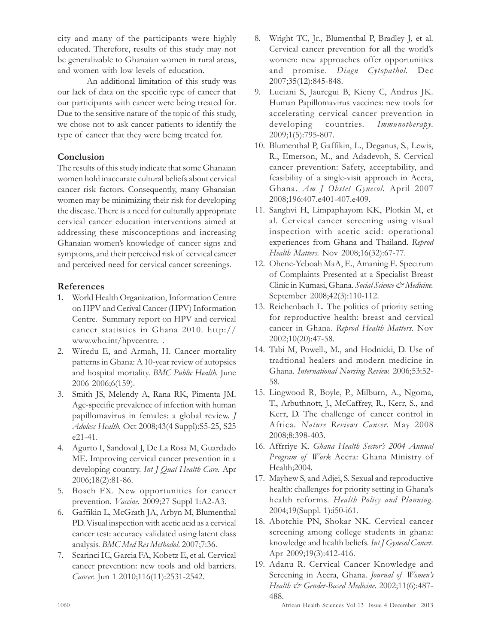city and many of the participants were highly educated. Therefore, results of this study may not be generalizable to Ghanaian women in rural areas, and women with low levels of education.

An additional limitation of this study was our lack of data on the specific type of cancer that our participants with cancer were being treated for. Due to the sensitive nature of the topic of this study, we chose not to ask cancer patients to identify the type of cancer that they were being treated for.

# Conclusion

The results of this study indicate that some Ghanaian women hold inaccurate cultural beliefs about cervical cancer risk factors. Consequently, many Ghanaian women may be minimizing their risk for developing the disease. There is a need for culturally appropriate cervical cancer education interventions aimed at addressing these misconceptions and increasing Ghanaian women's knowledge of cancer signs and symptoms, and their perceived risk of cervical cancer and perceived need for cervical cancer screenings.

# References

- 1. World Health Organization, Information Centre on HPV and Cerival Cancer (HPV) Information Centre. Summary report on HPV and cervical cancer statistics in Ghana 2010. http:// www.who.int/hpvcentre. .
- 2. Wiredu E, and Armah, H. Cancer mortality patterns in Ghana: A 10-year review of autopsies and hospital mortality. BMC Public Health. June 2006 2006;6(159).
- 3. Smith JS, Melendy A, Rana RK, Pimenta JM. Age-specific prevalence of infection with human papillomavirus in females: a global review. J Adolesc Health. Oct 2008;43(4 Suppl):S5-25, S25 e21-41.
- 4. Agurto I, Sandoval J, De La Rosa M, Guardado ME. Improving cervical cancer prevention in a developing country. Int J Qual Health Care. Apr 2006;18(2):81-86.
- 5. Bosch FX. New opportunities for cancer prevention. Vaccine. 2009;27 Suppl 1:A2-A3.
- 6. Gaffikin L, McGrath JA, Arbyn M, Blumenthal PD. Visual inspection with acetic acid as a cervical cancer test: accuracy validated using latent class analysis. BMC Med Res Methodol. 2007;7:36.
- 7. Scarinci IC, Garcia FA, Kobetz E, et al. Cervical cancer prevention: new tools and old barriers. Cancer. Jun 1 2010;116(11):2531-2542.
- 8. Wright TC, Jr., Blumenthal P, Bradley J, et al. Cervical cancer prevention for all the world's women: new approaches offer opportunities and promise. Diagn Cytopathol. Dec 2007;35(12):845-848.
- 9. Luciani S, Jauregui B, Kieny C, Andrus JK. Human Papillomavirus vaccines: new tools for accelerating cervical cancer prevention in developing countries. Immunotherapy. 2009;1(5):795-807.
- 10. Blumenthal P, Gaffikin, L., Deganus, S., Lewis, R., Emerson, M., and Adadevoh, S. Cervical cancer prevention: Safety, acceptability, and feasibility of a single-visit approach in Accra, Ghana. Am J Obstet Gynecol. April 2007 2008;196:407.e401-407.e409.
- 11. Sanghvi H, Limpaphayom KK, Plotkin M, et al. Cervical cancer screening using visual inspection with acetic acid: operational experiences from Ghana and Thailand. Reprod Health Matters. Nov 2008;16(32):67-77.
- 12. Ohene-Yeboah MaA, E., Amaning E. Spectrum of Complaints Presented at a Specialist Breast Clinic in Kumasi, Ghana. Social Science & Medicine. September 2008;42(3):110-112.
- 13. Reichenbach L. The politics of priority setting for reproductive health: breast and cervical cancer in Ghana. Reprod Health Matters. Nov 2002;10(20):47-58.
- 14. Tabi M, Powell., M., and Hodnicki, D. Use of tradtional healers and modern medicine in Ghana. International Nursing Review. 2006;53:52- 58.
- 15. Lingwood R, Boyle, P., Milburn, A., Ngoma, T., Arbuthnott, J., McCaffrey, R., Kerr, S., and Kerr, D. The challenge of cancer control in Africa. Nature Reviews Cancer. May 2008 2008;8:398-403.
- 16. Affrriye K. Ghana Health Sector's 2004 Annual Program of Work Accra: Ghana Ministry of Health;2004.
- 17. Mayhew S, and Adjei, S. Sexual and reproductive health: challenges for priority setting in Ghana's health reforms. Health Policy and Planning. 2004;19(Suppl. 1):i50-i61.
- 18. Abotchie PN, Shokar NK. Cervical cancer screening among college students in ghana: knowledge and health beliefs. Int J Gynecol Cancer. Apr 2009;19(3):412-416.
- 19. Adanu R. Cervical Cancer Knowledge and Screening in Accra, Ghana. Journal of Women's Health & Gender-Based Medicine. 2002;11(6):487-488.